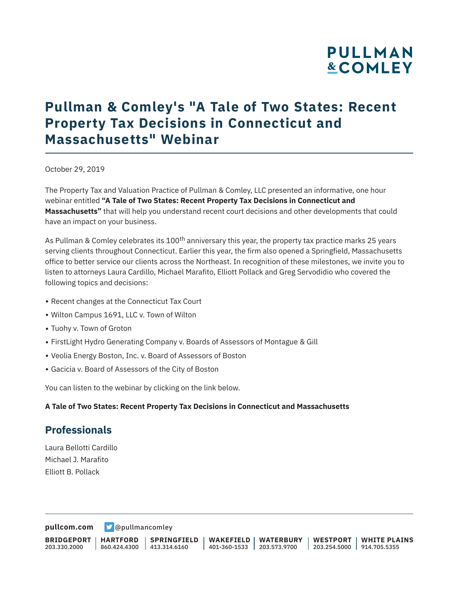# **PULLMAN &COMLEY**

# **Pullman & Comley's "A Tale of Two States: Recent Property Tax Decisions in Connecticut and Massachusetts" Webinar**

October 29, 2019

The Property Tax and Valuation Practice of Pullman & Comley, LLC presented an informative, one hour webinar entitled **"A Tale of Two States: Recent Property Tax Decisions in Connecticut and Massachusetts"** that will help you understand recent court decisions and other developments that could have an impact on your business.

As Pullman & Comley celebrates its 100<sup>th</sup> anniversary this year, the property tax practice marks 25 years serving clients throughout Connecticut. Earlier this year, the firm also opened a Springfield, Massachusetts office to better service our clients across the Northeast. In recognition of these milestones, we invite you to listen to attorneys Laura Cardillo, Michael Marafito, Elliott Pollack and Greg Servodidio who covered the following topics and decisions:

- Recent changes at the Connecticut Tax Court
- Wilton Campus 1691, LLC v. Town of Wilton
- Tuohy v. Town of Groton
- FirstLight Hydro Generating Company v. Boards of Assessors of Montague & Gill
- Veolia Energy Boston, Inc. v. Board of Assessors of Boston
- Gacicia v. Board of Assessors of the City of Boston

You can listen to the webinar by clicking on the link below.

#### **A Tale of Two States: Recent Property Tax Decisions in Connecticut and Massachusetts**

### **Professionals**

Laura Bellotti Cardillo Michael J. Marafito Elliott B. Pollack

**[pullcom.com](https://www.pullcom.com) g** [@pullmancomley](https://twitter.com/PullmanComley)

**BRIDGEPORT** 203.330.2000

**HARTFORD** 860.424.4300 413.314.6160

**SPRINGFIELD**

**WAKEFIELD WATERBURY** 401-360-1533 203.573.9700

**WESTPORT WHITE PLAINS** 203.254.5000 914.705.5355